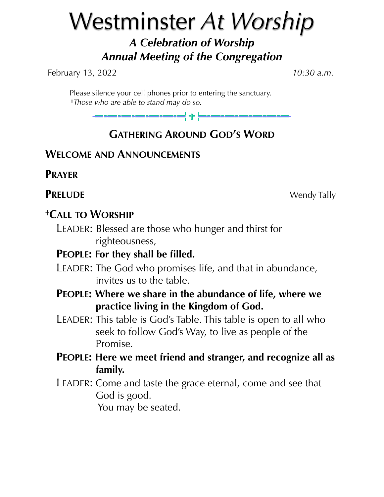# Westminster *At Worship*

# *A Celebration of Worship Annual Meeting of the Congregation*

February 13, 2022 *10:30 a.m.*

 Please silence your cell phones prior to entering the sanctuary. **†***Those who are able to stand may do so.*

# **GATHERING AROUND GOD'S WORD**

# **WELCOME AND ANNOUNCEMENTS**

**PRAYER**

**PRELUDE** Wendy Tally

# **†CALL TO WORSHIP**

LEADER: Blessed are those who hunger and thirst for righteousness,

# **PEOPLE: For they shall be filled.**

- LEADER: The God who promises life, and that in abundance, invites us to the table.
- **PEOPLE: Where we share in the abundance of life, where we practice living in the Kingdom of God.**
- LEADER: This table is God's Table. This table is open to all who seek to follow God's Way, to live as people of the Promise.
- **PEOPLE: Here we meet friend and stranger, and recognize all as family.**
- LEADER: Come and taste the grace eternal, come and see that God is good. You may be seated.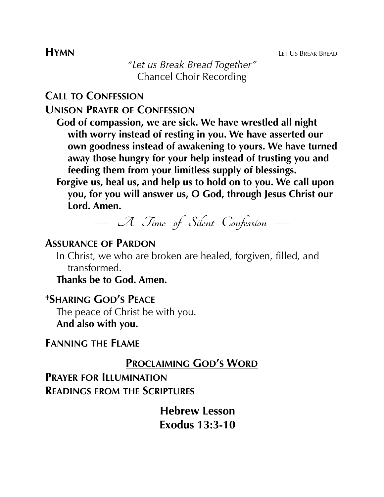**HYMN** LET US BREAK BREAD

*"Let us Break Bread Together"* Chancel Choir Recording

**CALL TO CONFESSION**

**UNISON PRAYER OF CONFESSION**

- **God of compassion, we are sick. We have wrestled all night with worry instead of resting in you. We have asserted our own goodness instead of awakening to yours. We have turned away those hungry for your help instead of trusting you and feeding them from your limitless supply of blessings.**
- **Forgive us, heal us, and help us to hold on to you. We call upon you, for you will answer us, O God, through Jesus Christ our Lord. Amen.**



# **ASSURANCE OF PARDON**

In Christ, we who are broken are healed, forgiven, filled, and transformed.

**Thanks be to God. Amen.**

# **†SHARING GOD'S PEACE**

The peace of Christ be with you. **And also with you.**

# **FANNING THE FLAME**

# **PROCLAIMING GOD'S WORD**

**PRAYER FOR ILLUMINATION READINGS FROM THE SCRIPTURES**

> **Hebrew Lesson Exodus 13:3-10**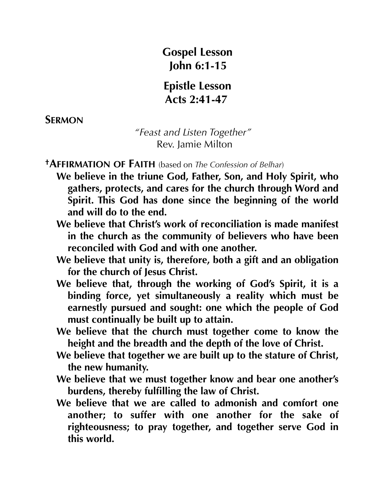**Gospel Lesson John 6:1-15**

**Epistle Lesson Acts 2:41-47**

**SERMON** 

 *"Feast and Listen Together"* **Rev.** Jamie Milton

**†AFFIRMATION OF FAITH** (based on *The Confession of Belhar*)

- **We believe in the triune God, Father, Son, and Holy Spirit, who gathers, protects, and cares for the church through Word and Spirit. This God has done since the beginning of the world and will do to the end.**
- **We believe that Christ's work of reconciliation is made manifest in the church as the community of believers who have been reconciled with God and with one another.**
- **We believe that unity is, therefore, both a gift and an obligation for the church of Jesus Christ.**
- **We believe that, through the working of God's Spirit, it is a binding force, yet simultaneously a reality which must be earnestly pursued and sought: one which the people of God must continually be built up to attain.**
- **We believe that the church must together come to know the height and the breadth and the depth of the love of Christ.**
- **We believe that together we are built up to the stature of Christ, the new humanity.**
- **We believe that we must together know and bear one another's burdens, thereby fulfilling the law of Christ.**
- **We believe that we are called to admonish and comfort one another; to suffer with one another for the sake of righteousness; to pray together, and together serve God in this world.**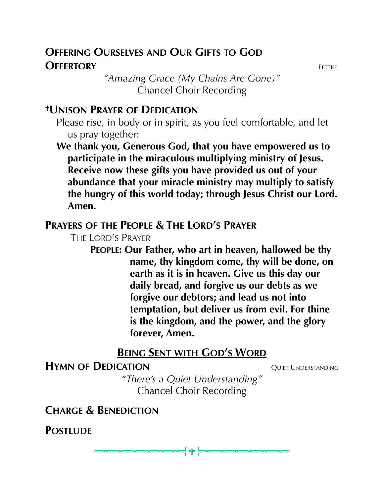# **OFFERING OURSELVES AND OUR GIFTS TO GOD OFFERTORY** FETTKE

*"Amazing Grace (My Chains Are Gone)"* Chancel Choir Recording

# **†UNISON PRAYER OF DEDICATION**

Please rise, in body or in spirit, as you feel comfortable, and let us pray together:

**We thank you, Generous God, that you have empowered us to participate in the miraculous multiplying ministry of Jesus. Receive now these gifts you have provided us out of your abundance that your miracle ministry may multiply to satisfy the hungry of this world today; through Jesus Christ our Lord. Amen.**

# **PRAYERS OF THE PEOPLE & THE LORD'S PRAYER**

THE LORD'S PRAYER

**PEOPLE: Our Father, who art in heaven, hallowed be thy name, thy kingdom come, thy will be done, on earth as it is in heaven. Give us this day our daily bread, and forgive us our debts as we forgive our debtors; and lead us not into temptation, but deliver us from evil. For thine is the kingdom, and the power, and the glory forever, Amen.**

# **BEING SENT WITH GOD'S WORD**

# **HYMN OF DEDICATION** QUIET UNDERSTANDING

*"There's a Quiet Understanding"* Chancel Choir Recording

**CHARGE & BENEDICTION**

500 Top Only

**POSTLUDE** 

유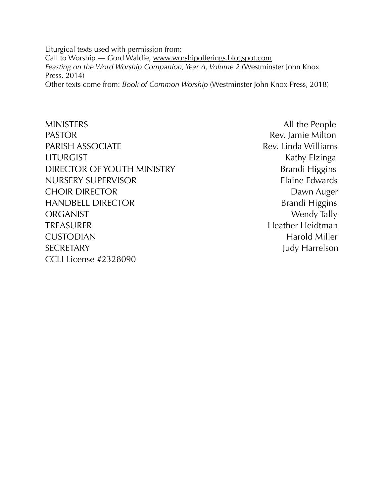Liturgical texts used with permission from: Call to Worship — Gord Waldie, [www.worshipofferings.blogspot.com](http://www.worshipofferings.blogspot.com) *Feasting on the Word Worship Companion, Year A, Volume 2 (Westminster John Knox* Press, 2014) Other texts come from: *Book of Common Worship* (Westminster John Knox Press, 2018)

MINISTERS All the People PASTOR **Rev.** Jamie Milton PARISH ASSOCIATE **Rev. Linda Williams** LITURGIST **Kathy Elzinga** DIRECTOR OF YOUTH MINISTRY Brandi Higgins NURSERY SUPERVISOR Elaine Edwards CHOIR DIRECTOR **DAWN AUGUST 2006** Dawn Auger HANDBELL DIRECTOR Brandi Higgins ORGANIST Wendy Tally TREASURER Heidtman CUSTODIAN Harold Miller SECRETARY Judy Harrelson CCLI License #2328090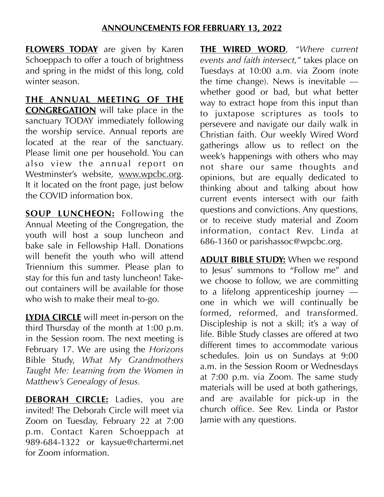### **ANNOUNCEMENTS FOR FEBRUARY 13, 2022**

**FLOWERS TODAY** are given by Karen Schoeppach to offer a touch of brightness and spring in the midst of this long, cold winter season.

**THE ANNUAL MEETING OF THE CONGREGATION** will take place in the sanctuary TODAY immediately following the worship service. Annual reports are located at the rear of the sanctuary. Please limit one per household. You can also view the annual report on Westminster's website, [www.wpcbc.org.](http://www.wpcbc.org) It it located on the front page, just below the COVID information box.

**SOUP LUNCHEON:** Following the Annual Meeting of the Congregation, the youth will host a soup luncheon and bake sale in Fellowship Hall. Donations will benefit the youth who will attend Triennium this summer. Please plan to stay for this fun and tasty luncheon! Takeout containers will be available for those who wish to make their meal to-go.

**LYDIA CIRCLE** will meet in-person on the third Thursday of the month at 1:00 p.m. in the Session room. The next meeting is February 17. We are using the *Horizons* Bible Study, *What My Grandmothers Taught Me: Learning from the Women in Matthew's Genealogy of Jesus.*

**DEBORAH CIRCLE:** Ladies, you are invited! The Deborah Circle will meet via Zoom on Tuesday, February 22 at 7:00 p.m. Contact Karen Schoeppach at 989-684-1322 or kaysue@chartermi.net for Zoom information.

**THE WIRED WORD**, *"Where current events and faith intersect,"* takes place on Tuesdays at 10:00 a.m. via Zoom (note the time change). News is inevitable whether good or bad, but what better way to extract hope from this input than to juxtapose scriptures as tools to persevere and navigate our daily walk in Christian faith. Our weekly Wired Word gatherings allow us to reflect on the week's happenings with others who may not share our same thoughts and opinions, but are equally dedicated to thinking about and talking about how current events intersect with our faith questions and convictions. Any questions, or to receive study material and Zoom information, contact Rev. Linda at 686-1360 or parishassoc@wpcbc.org.

**ADULT BIBLE STUDY:** When we respond to Jesus' summons to "Follow me" and we choose to follow, we are committing to a lifelong apprenticeship journey one in which we will continually be formed, reformed, and transformed. Discipleship is not a skill; it's a way of life. Bible Study classes are offered at two different times to accommodate various schedules. Join us on Sundays at 9:00 a.m. in the Session Room or Wednesdays at 7:00 p.m. via Zoom. The same study materials will be used at both gatherings, and are available for pick-up in the church office. See Rev. Linda or Pastor Jamie with any questions.